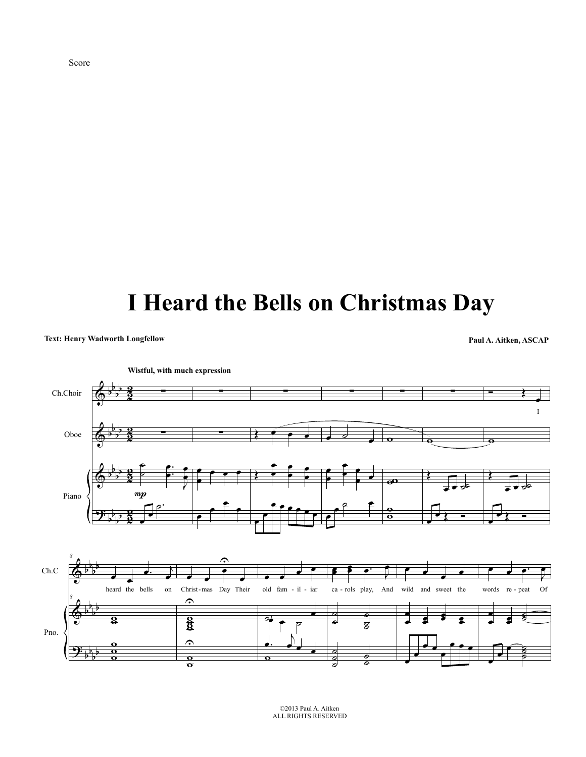## **I Heard the Bells on Christmas Day**

**Text: Henry Wadworth Longfellow**

**Paul A. Aitken, ASCAP**



Score

©2013 Paul A. Aitken ALL RIGHTS RESERVED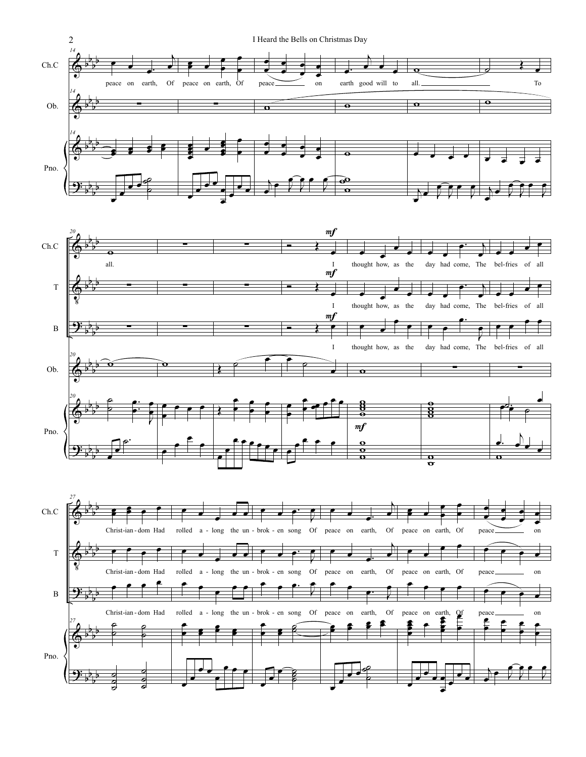



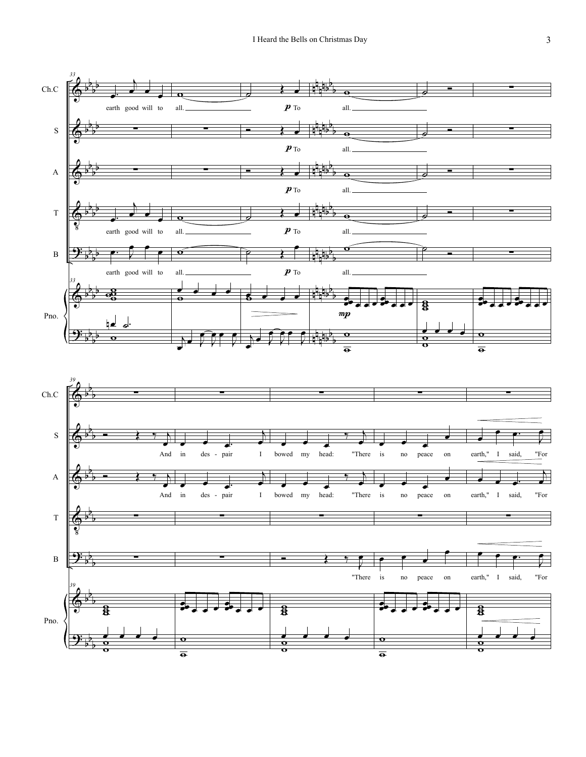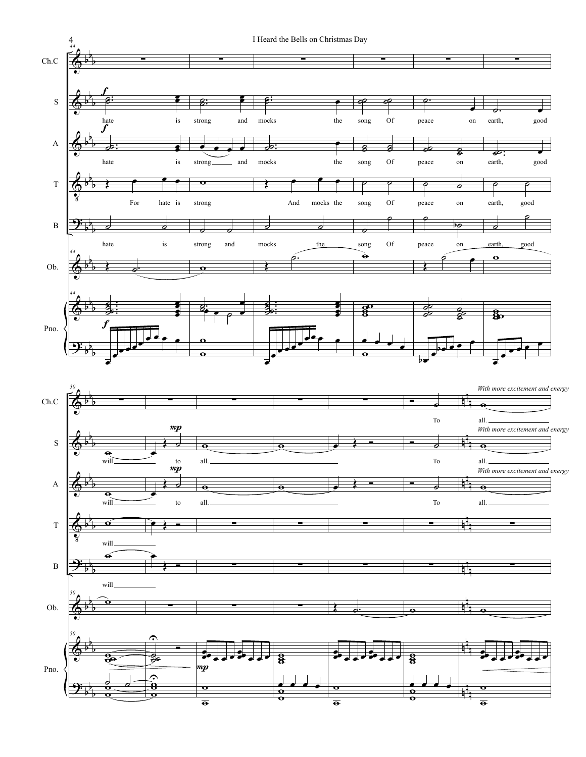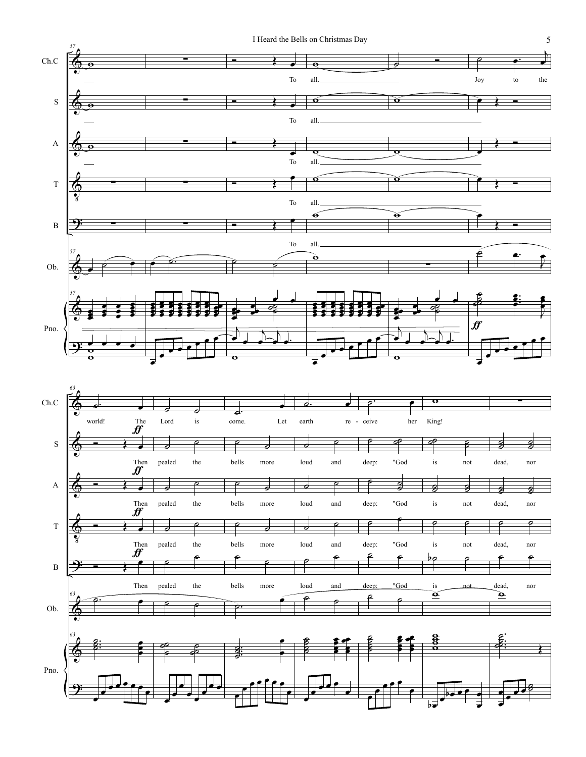I Heard the Bells on Christmas Day 5

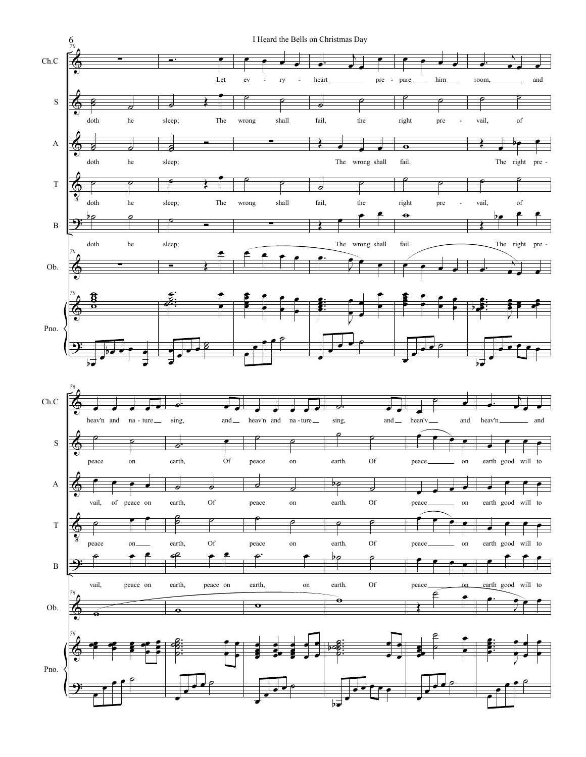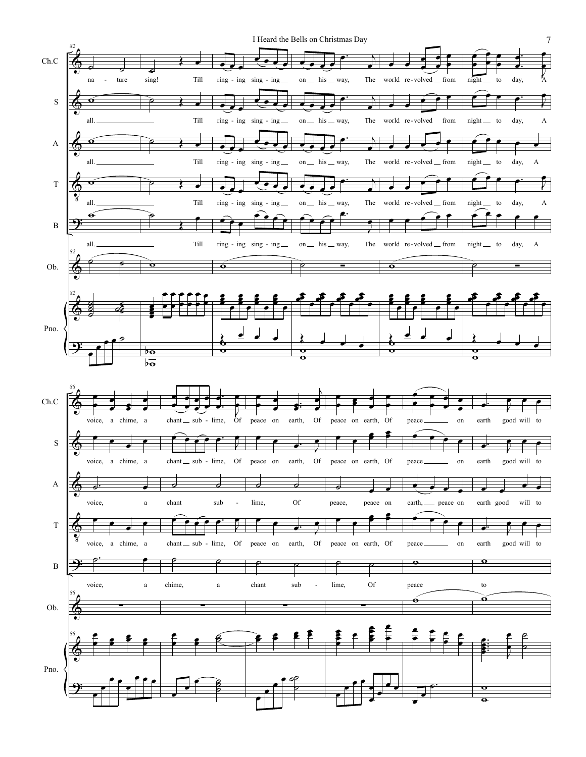